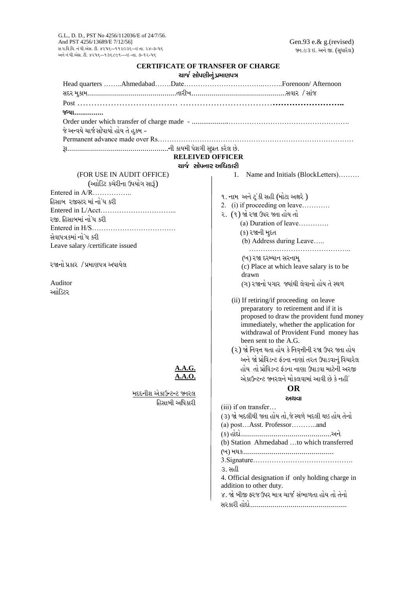## **CERTIFICATE OF TRANSFER OF CHARGE** ચાર્જ સોપણીનં પ્રમાણપત્ર

| સદર મુકામ…………………………………………તારીખ…………………………………………………………સવાર / સાંજ |                                                       |
|-----------------------------------------------------------------|-------------------------------------------------------|
|                                                                 |                                                       |
| જીયા……………                                                       |                                                       |
|                                                                 |                                                       |
| જે અન્વયે ચાર્જસોપાયો હોય તે હુકમ -                             |                                                       |
|                                                                 |                                                       |
|                                                                 |                                                       |
|                                                                 | <b>RELEIVED OFFICER</b>                               |
|                                                                 | ચાર્જ સોપનાર અધિકારી                                  |
| (FOR USE IN AUDIT OFFICE)                                       | 1.<br>Name and Initials (BlockLetters)                |
| (આોડિટ કચેરીના ઉપયોગ સારૂં)                                     |                                                       |
|                                                                 | ૧. નામ અને ટૂં કી સહી (મોટા અક્ષરે )                  |
| હિસાબ ૨જીસ્ટર માં નોંધ કરી                                      | 2. (i) if proceeding on leave                         |
|                                                                 | ૨. (૧) જો રજા ઉપર જતા હોય તો                          |
| રજી. હિસાબમાં નો ધ કરી                                          |                                                       |
|                                                                 | (ક) રજાની મુદત                                        |
| સેવાપત્રકમાં નો ધ કરી                                           | (b) Address during Leave                              |
| Leave salary /certificate issued                                |                                                       |
|                                                                 | (ખ) રજા દરમ્યાન સરનામૂ                                |
| ૨જાનો પ્રકાર  / પ્રમાણપત્ર અપાયેલ                               | (c) Place at which leave salary is to be              |
|                                                                 | drawn                                                 |
| Auditor                                                         | (ગ) રજાનો પગાર જ્યાંથી લેવાનો હોય તે સ્થળ             |
| આોડિટર                                                          |                                                       |
|                                                                 | (ii) If retiring/if proceeding on leave               |
|                                                                 | preparatory to retirement and if it is                |
|                                                                 | proposed to draw the provident fund money             |
|                                                                 | immediately, whether the application for              |
|                                                                 | withdrawal of Provident Fund money has                |
|                                                                 | been sent to the A.G.                                 |
|                                                                 | (૨) જો નિવૃત્ત થતા હોય કે નિવૃત્તીની રજા ઉપર જ્તા હોય |
|                                                                 | અને જો પ્રોવિડન્ટ ફંડના નાણાં તરત ઉપાડવાનું વિચારેલ   |
| A.A.G.                                                          | હોય તો પ્રોવિડન્ટ ફંડના નાણા ઉપાડવા માટેની અરજી       |
| A.A.O.                                                          | એકાઉન્ટન્ટ જ્નરલને મોકલવામાં આવી છે કે નહી.           |
|                                                                 | <b>OR</b>                                             |
| <u>મદદનીશ એકાઉન્ટન્ટ જ્નરલ</u>                                  | અથવા                                                  |
| હિસાબી અધિકારી                                                  | (iii) if on transfer                                  |
|                                                                 | (૩) જો બદલીથી જતા હોય તો,જે સ્થળે બદલી થઇ હોય તેનો    |
|                                                                 | (a) postAsst. Professorand                            |
|                                                                 |                                                       |
|                                                                 | (b) Station Ahmedabad to which transferred            |
|                                                                 |                                                       |
|                                                                 |                                                       |
|                                                                 | ૩. સહી                                                |
|                                                                 | 4. Official designation if only holding charge in     |
|                                                                 | addition to other duty.                               |
|                                                                 | ૪. જો બીજી ફરજઉપર માત્ર ચાર્જ સંભાળતા હોય તો તેનો     |
|                                                                 |                                                       |
|                                                                 |                                                       |